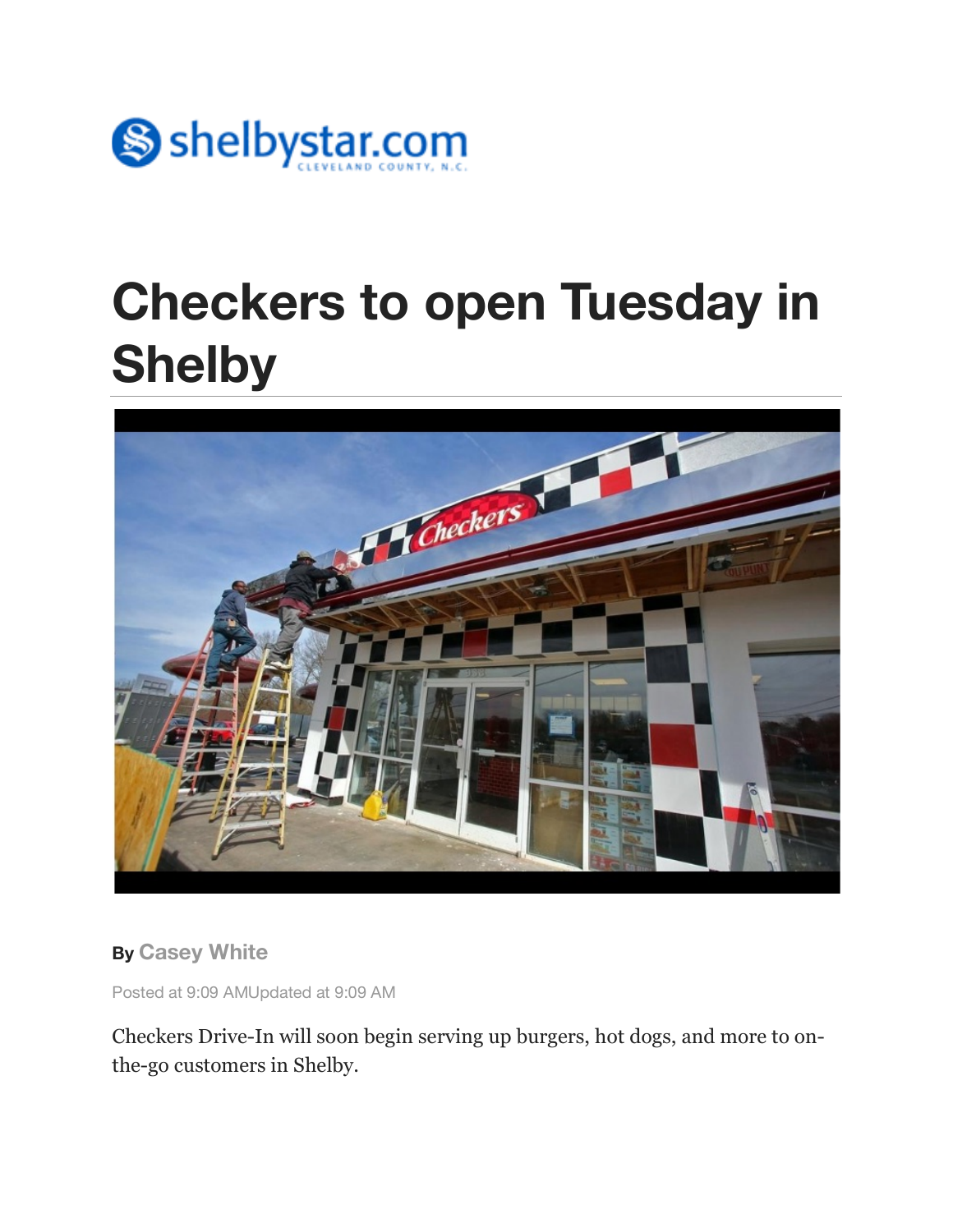

## **Checkers to open Tuesday in Shelby**



**By Casey White**

Posted at 9:09 AMUpdated at 9:09 AM

Checkers Drive-In will soon begin serving up burgers, hot dogs, and more to onthe-go customers in Shelby.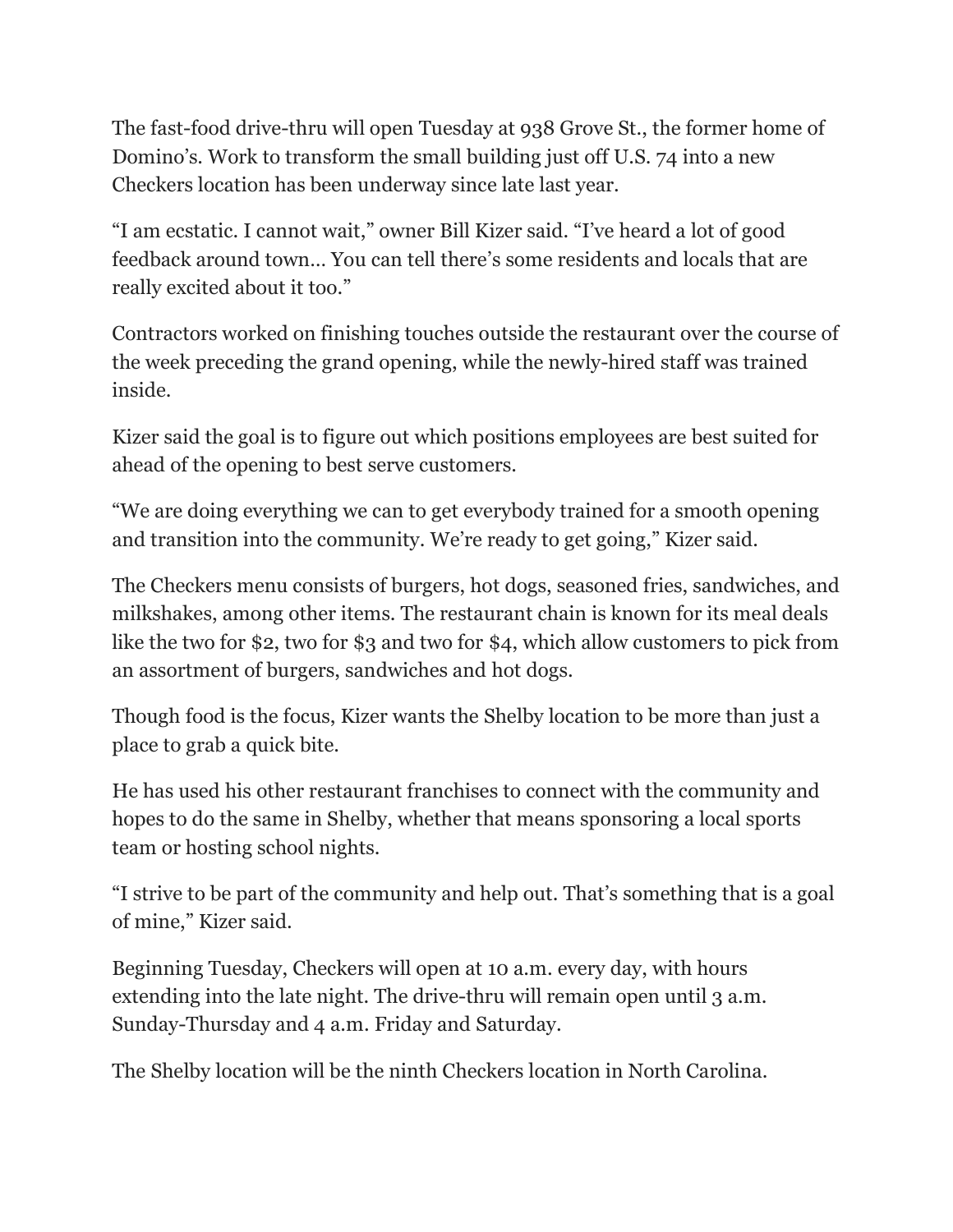The fast-food drive-thru will open Tuesday at 938 Grove St., the former home of Domino's. Work to transform the small building just off U.S. 74 into a new Checkers location has been underway since late last year.

"I am ecstatic. I cannot wait," owner Bill Kizer said. "I've heard a lot of good feedback around town… You can tell there's some residents and locals that are really excited about it too."

Contractors worked on finishing touches outside the restaurant over the course of the week preceding the grand opening, while the newly-hired staff was trained inside.

Kizer said the goal is to figure out which positions employees are best suited for ahead of the opening to best serve customers.

"We are doing everything we can to get everybody trained for a smooth opening and transition into the community. We're ready to get going," Kizer said.

The Checkers menu consists of burgers, hot dogs, seasoned fries, sandwiches, and milkshakes, among other items. The restaurant chain is known for its meal deals like the two for \$2, two for \$3 and two for \$4, which allow customers to pick from an assortment of burgers, sandwiches and hot dogs.

Though food is the focus, Kizer wants the Shelby location to be more than just a place to grab a quick bite.

He has used his other restaurant franchises to connect with the community and hopes to do the same in Shelby, whether that means sponsoring a local sports team or hosting school nights.

"I strive to be part of the community and help out. That's something that is a goal of mine," Kizer said.

Beginning Tuesday, Checkers will open at 10 a.m. every day, with hours extending into the late night. The drive-thru will remain open until 3 a.m. Sunday-Thursday and 4 a.m. Friday and Saturday.

The Shelby location will be the ninth Checkers location in North Carolina.